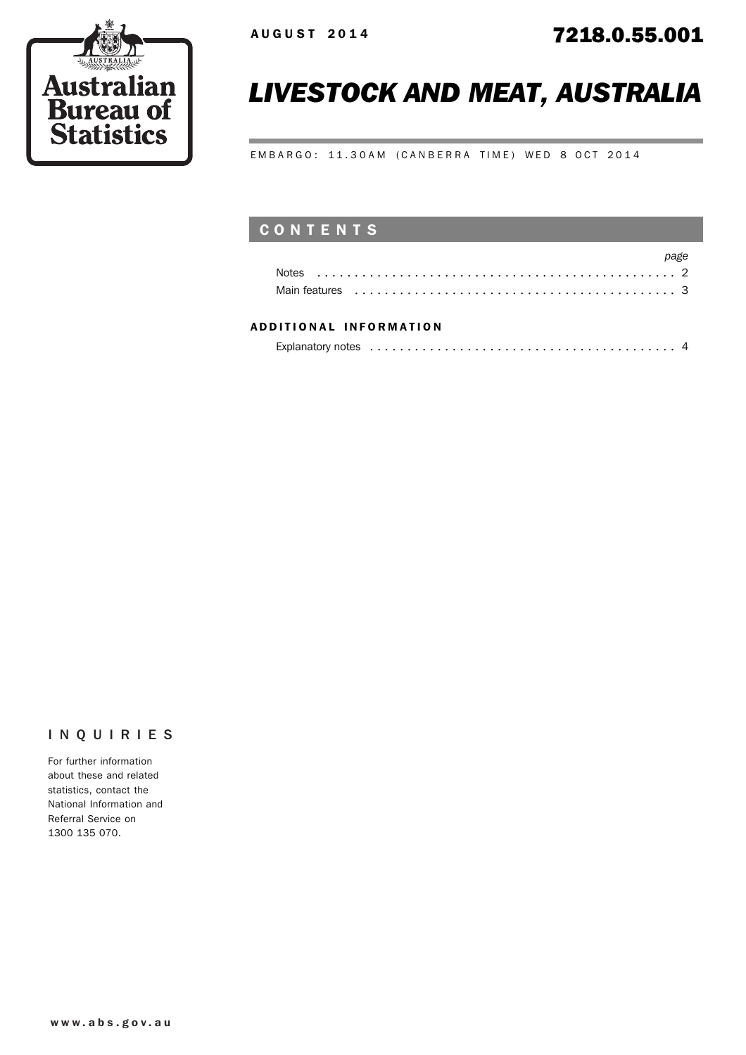

# *LIVESTOCK AND MEAT, AUSTRALIA*

EMBARGO: 11.30AM (CANBERRA TIME) WED 8 OCT 2014

## CONTENTS

|                                                                                                                                                                                                                                | page |
|--------------------------------------------------------------------------------------------------------------------------------------------------------------------------------------------------------------------------------|------|
|                                                                                                                                                                                                                                |      |
| Main features experience in the contract of the contract of the contract of the contract of the contract of the contract of the contract of the contract of the contract of the contract of the contract of the contract of th |      |

#### ADD ITIONAL INFORMATION

|--|

### INQUIRIES

For further information about these and related statistics, contact the National Information and Referral Service on 1300 135 070.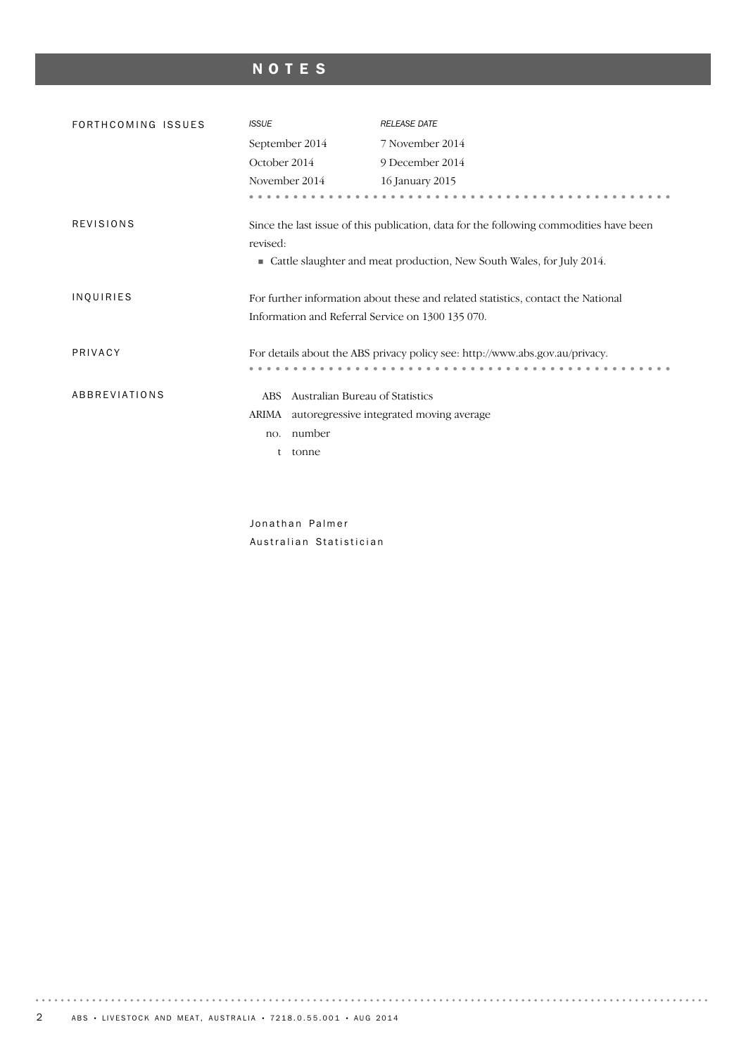## NOTES

| FORTHCOMING ISSUES | <b>ISSUE</b>                                                                                       | <b>RELEASE DATE</b>                                                              |
|--------------------|----------------------------------------------------------------------------------------------------|----------------------------------------------------------------------------------|
|                    | September 2014                                                                                     | 7 November 2014                                                                  |
|                    | October 2014                                                                                       | 9 December 2014                                                                  |
|                    | November 2014                                                                                      | 16 January 2015                                                                  |
|                    |                                                                                                    |                                                                                  |
| <b>REVISIONS</b>   | Since the last issue of this publication, data for the following commodities have been<br>revised: |                                                                                  |
|                    |                                                                                                    | • Cattle slaughter and meat production, New South Wales, for July 2014.          |
| INQUIRIES          | Information and Referral Service on 1300 135 070.                                                  | For further information about these and related statistics, contact the National |
| PRIVACY            |                                                                                                    | For details about the ABS privacy policy see: http://www.abs.gov.au/privacy.     |
| ABBREVIATIONS      | Australian Bureau of Statistics<br>ABS                                                             |                                                                                  |
|                    | ARIMA<br>autoregressive integrated moving average                                                  |                                                                                  |
|                    | number<br>no.                                                                                      |                                                                                  |
|                    | tonne<br>t                                                                                         |                                                                                  |
|                    |                                                                                                    |                                                                                  |
|                    |                                                                                                    |                                                                                  |

Jonathan Palmer Australian Statistician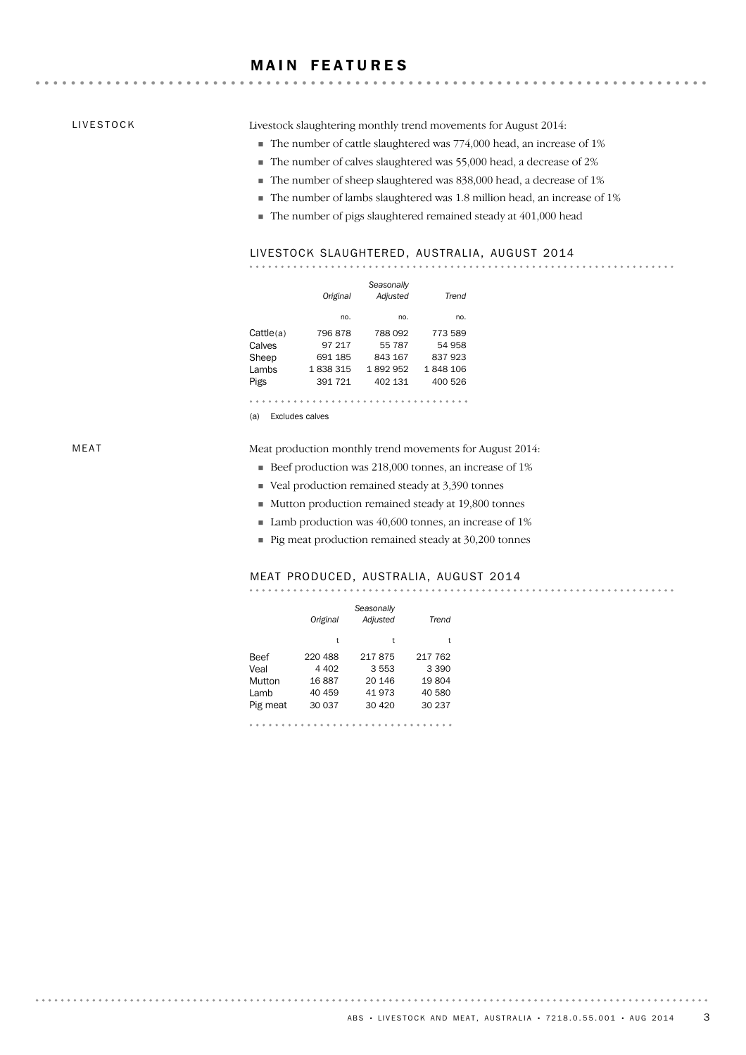#### **MAIN FEATURES**

#### LIVESTOCK

Livestock slaughtering monthly trend movements for August 2014:

The number of cattle slaughtered was 774,000 head, an increase of 1%

- The number of calves slaughtered was 55,000 head, a decrease of 2%
- The number of sheep slaughtered was 838,000 head, a decrease of 1%
- The number of lambs slaughtered was 1.8 million head, an increase of 1%

The number of pigs slaughtered remained steady at 401,000 head

#### LIVESTOCK SLAUGHTERED, AUSTRALIA, AUGUST 2014

|           | Original | Seasonally<br>Adjusted | Trend   |
|-----------|----------|------------------------|---------|
|           | no.      | no.                    | no.     |
| Cattle(a) | 796878   | 788 092                | 773 589 |
| Calves    | 97 217   | 55 787                 | 54 958  |
| Sheep     | 691 185  | 843 167                | 837 923 |
| Lambs     | 1838315  | 1892952                | 1848106 |
| Pigs      | 391 721  | 402 131                | 400 526 |
|           |          |                        |         |

(a) Excludes calves

Meat production monthly trend movements for August 2014:

- Beef production was 218,000 tonnes, an increase of 1%
- Veal production remained steady at 3,390 tonnes
- Mutton production remained steady at 19,800 tonnes
- Lamb production was 40,600 tonnes, an increase of 1%
- Pig meat production remained steady at 30,200 tonnes

#### MEAT PRODUCED, AUSTRALIA, AUGUST 2014

|          | Original | Seasonally<br>Adjusted | Trend   |
|----------|----------|------------------------|---------|
|          | t        | t                      | t       |
| Beef     | 220 488  | 217875                 | 217 762 |
| Veal     | 4 4 0 2  | 3 5 5 3                | 3 3 9 0 |
| Mutton   | 16887    | 20 14 6                | 19804   |
| Lamb     | 40 459   | 41 973                 | 40 580  |
| Pig meat | 30 037   | 30 4 20                | 30 237  |
|          |          |                        |         |

. . . . . . . . .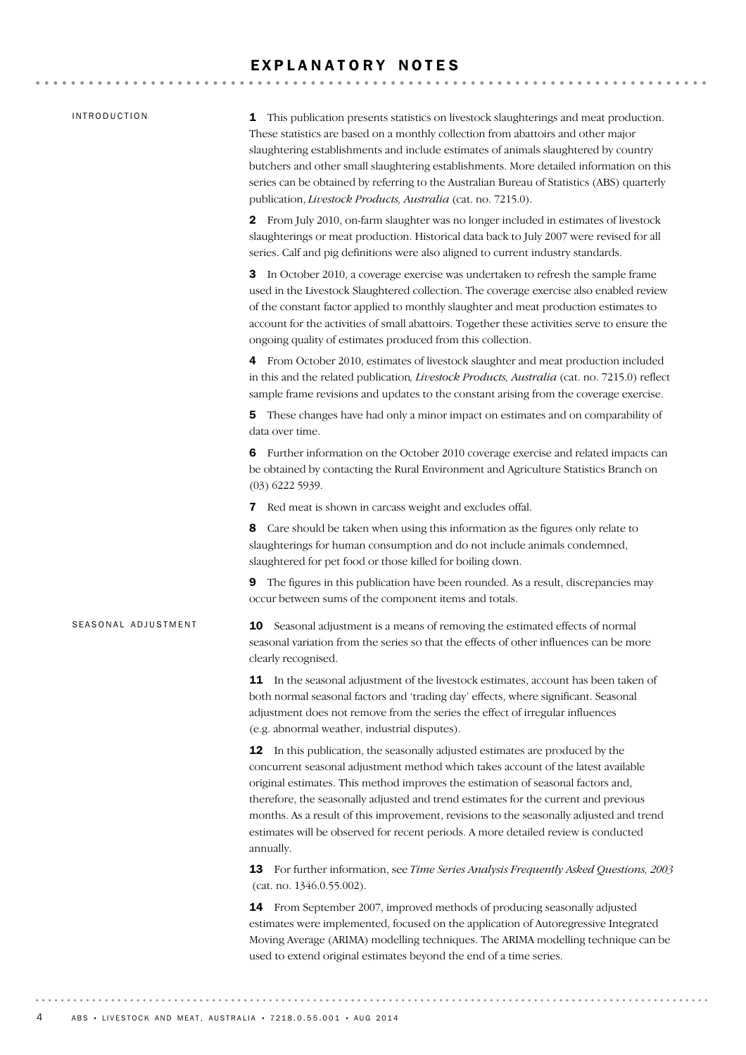#### EXPLANATORY NOTES

#### INTRODUCTION

SEASONAL ADJUSTMENT

1 This publication presents statistics on livestock slaughterings and meat production. These statistics are based on a monthly collection from abattoirs and other major slaughtering establishments and include estimates of animals slaughtered by country butchers and other small slaughtering establishments. More detailed information on this series can be obtained by referring to the Australian Bureau of Statistics (ABS) quarterly publication, *Livestock Products, Australia* (cat. no. 7215.0).

2 From July 2010, on-farm slaughter was no longer included in estimates of livestock slaughterings or meat production. Historical data back to July 2007 were revised for all series. Calf and pig definitions were also aligned to current industry standards.

3 In October 2010, a coverage exercise was undertaken to refresh the sample frame used in the Livestock Slaughtered collection. The coverage exercise also enabled review of the constant factor applied to monthly slaughter and meat production estimates to account for the activities of small abattoirs. Together these activities serve to ensure the ongoing quality of estimates produced from this collection.

4 From October 2010, estimates of livestock slaughter and meat production included in this and the related publication*, Livestock Products, Australia* (cat. no. 7215.0) reflect sample frame revisions and updates to the constant arising from the coverage exercise.

5 These changes have had only a minor impact on estimates and on comparability of data over time.

6 Further information on the October 2010 coverage exercise and related impacts can be obtained by contacting the Rural Environment and Agriculture Statistics Branch on (03) 6222 5939.

7 Red meat is shown in carcass weight and excludes offal.

8 Care should be taken when using this information as the figures only relate to slaughterings for human consumption and do not include animals condemned, slaughtered for pet food or those killed for boiling down.

9 The figures in this publication have been rounded. As a result, discrepancies may occur between sums of the component items and totals.

**10** Seasonal adjustment is a means of removing the estimated effects of normal seasonal variation from the series so that the effects of other influences can be more clearly recognised.

**11** In the seasonal adjustment of the livestock estimates, account has been taken of both normal seasonal factors and 'trading day' effects, where significant. Seasonal adjustment does not remove from the series the effect of irregular influences (e.g. abnormal weather, industrial disputes).

12 In this publication, the seasonally adjusted estimates are produced by the concurrent seasonal adjustment method which takes account of the latest available original estimates. This method improves the estimation of seasonal factors and, therefore, the seasonally adjusted and trend estimates for the current and previous months. As a result of this improvement, revisions to the seasonally adjusted and trend estimates will be observed for recent periods. A more detailed review is conducted annually.

13 For further information, see *Time Series Analysis Frequently Asked Questions, 2003* (cat. no. 1346.0.55.002).

14 From September 2007, improved methods of producing seasonally adjusted estimates were implemented, focused on the application of Autoregressive Integrated Moving Average (ARIMA) modelling techniques. The ARIMA modelling technique can be used to extend original estimates beyond the end of a time series.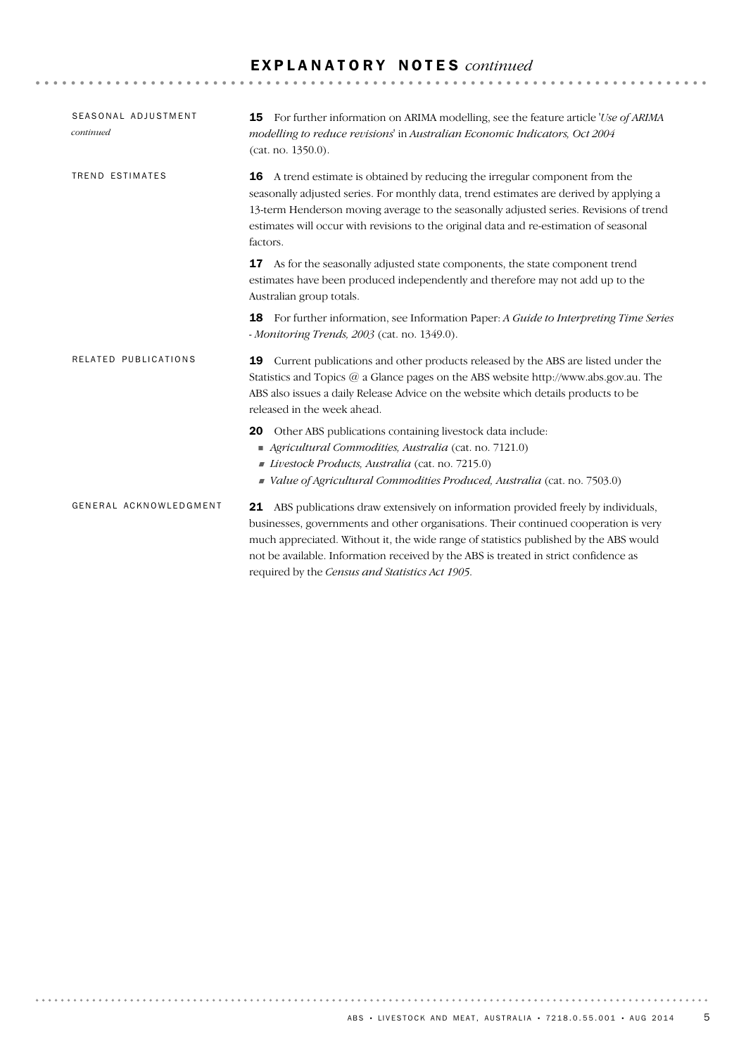## E X P L A N A T O R Y N O T E S *continued*

| SEASONAL ADJUSTMENT<br>continued | <b>15</b> For further information on ARIMA modelling, see the feature article 'Use of ARIMA<br>modelling to reduce revisions' in Australian Economic Indicators, Oct 2004<br>(cat. no. 1350.0).                                                                                                                                                                                                                 |
|----------------------------------|-----------------------------------------------------------------------------------------------------------------------------------------------------------------------------------------------------------------------------------------------------------------------------------------------------------------------------------------------------------------------------------------------------------------|
| TREND ESTIMATES                  | A trend estimate is obtained by reducing the irregular component from the<br>16<br>seasonally adjusted series. For monthly data, trend estimates are derived by applying a<br>13-term Henderson moving average to the seasonally adjusted series. Revisions of trend<br>estimates will occur with revisions to the original data and re-estimation of seasonal<br>factors.                                      |
|                                  | As for the seasonally adjusted state components, the state component trend<br>17<br>estimates have been produced independently and therefore may not add up to the<br>Australian group totals.                                                                                                                                                                                                                  |
|                                  | For further information, see Information Paper: A Guide to Interpreting Time Series<br>18<br>- Monitoring Trends, 2003 (cat. no. 1349.0).                                                                                                                                                                                                                                                                       |
| RELATED PUBLICATIONS             | Current publications and other products released by the ABS are listed under the<br>19<br>Statistics and Topics $@$ a Glance pages on the ABS website http://www.abs.gov.au. The<br>ABS also issues a daily Release Advice on the website which details products to be<br>released in the week ahead.                                                                                                           |
|                                  | Other ABS publications containing livestock data include:<br>20<br>Agricultural Commodities, Australia (cat. no. 7121.0)<br>Livestock Products, Australia (cat. no. 7215.0)<br>Value of Agricultural Commodities Produced, Australia (cat. no. 7503.0)                                                                                                                                                          |
| GENERAL ACKNOWLEDGMENT           | 21 ABS publications draw extensively on information provided freely by individuals,<br>businesses, governments and other organisations. Their continued cooperation is very<br>much appreciated. Without it, the wide range of statistics published by the ABS would<br>not be available. Information received by the ABS is treated in strict confidence as<br>required by the Census and Statistics Act 1905. |